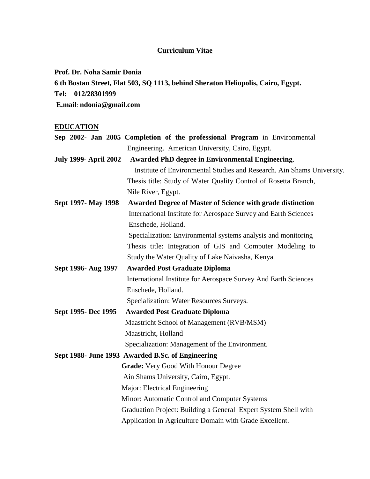# **Curriculum Vitae**

**Prof. Dr. Noha Samir Donia**

**6 th Bostan Street, Flat 503, SQ 1113, behind Sheraton Heliopolis, Cairo, Egypt. Tel: 012/28301999 E.mail**: **ndonia@gmail.com**

# **EDUCATION**

|                              | Sep 2002- Jan 2005 Completion of the professional Program in Environmental |
|------------------------------|----------------------------------------------------------------------------|
|                              | Engineering. American University, Cairo, Egypt.                            |
| <b>July 1999- April 2002</b> | <b>Awarded PhD degree in Environmental Engineering.</b>                    |
|                              | Institute of Environmental Studies and Research. Ain Shams University.     |
|                              | Thesis title: Study of Water Quality Control of Rosetta Branch,            |
|                              | Nile River, Egypt.                                                         |
| Sept 1997- May 1998          | <b>Awarded Degree of Master of Science with grade distinction</b>          |
|                              | International Institute for Aerospace Survey and Earth Sciences            |
|                              | Enschede, Holland.                                                         |
|                              | Specialization: Environmental systems analysis and monitoring              |
|                              | Thesis title: Integration of GIS and Computer Modeling to                  |
|                              | Study the Water Quality of Lake Naivasha, Kenya.                           |
| Sept 1996- Aug 1997          | <b>Awarded Post Graduate Diploma</b>                                       |
|                              | International Institute for Aerospace Survey And Earth Sciences            |
|                              | Enschede, Holland.                                                         |
|                              | Specialization: Water Resources Surveys.                                   |
| Sept 1995- Dec 1995          | <b>Awarded Post Graduate Diploma</b>                                       |
|                              | Maastricht School of Management (RVB/MSM)                                  |
|                              | Maastricht, Holland                                                        |
|                              | Specialization: Management of the Environment.                             |
|                              | Sept 1988- June 1993 Awarded B.Sc. of Engineering                          |
|                              | <b>Grade:</b> Very Good With Honour Degree                                 |
|                              | Ain Shams University, Cairo, Egypt.                                        |
|                              | Major: Electrical Engineering                                              |
|                              | Minor: Automatic Control and Computer Systems                              |
|                              | Graduation Project: Building a General Expert System Shell with            |
|                              | Application In Agriculture Domain with Grade Excellent.                    |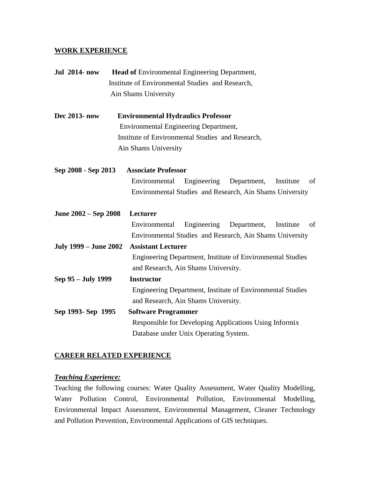### **WORK EXPERIENCE**

| <b>Jul 2014-now</b>          | <b>Head of Environmental Engineering Department,</b>           |
|------------------------------|----------------------------------------------------------------|
|                              | Institute of Environmental Studies and Research,               |
|                              | Ain Shams University                                           |
| Dec 2013- now                | <b>Environmental Hydraulics Professor</b>                      |
|                              | Environmental Engineering Department,                          |
|                              | Institute of Environmental Studies and Research,               |
|                              | Ain Shams University                                           |
| Sep 2008 - Sep 2013          | <b>Associate Professor</b>                                     |
|                              | Engineering Department,<br>of<br>Environmental<br>Institute    |
|                              | Environmental Studies and Research, Ain Shams University       |
| June 2002 – Sep 2008         | Lecturer                                                       |
|                              | Environmental<br>Engineering<br>Department,<br>Institute<br>of |
|                              | Environmental Studies and Research, Ain Shams University       |
| <b>July 1999 – June 2002</b> | <b>Assistant Lecturer</b>                                      |
|                              | Engineering Department, Institute of Environmental Studies     |
|                              | and Research, Ain Shams University.                            |
| Sep 95 - July 1999           | <b>Instructor</b>                                              |
|                              | Engineering Department, Institute of Environmental Studies     |
|                              | and Research, Ain Shams University.                            |
| Sep 1993- Sep 1995           | <b>Software Programmer</b>                                     |
|                              | Responsible for Developing Applications Using Informix         |
|                              | Database under Unix Operating System.                          |

### **CAREER RELATED EXPERIENCE**

#### *Teaching Experience:*

Teaching the following courses: Water Quality Assessment, Water Quality Modelling, Water Pollution Control, Environmental Pollution, Environmental Modelling, Environmental Impact Assessment, Environmental Management, Cleaner Technology and Pollution Prevention, Environmental Applications of GIS techniques.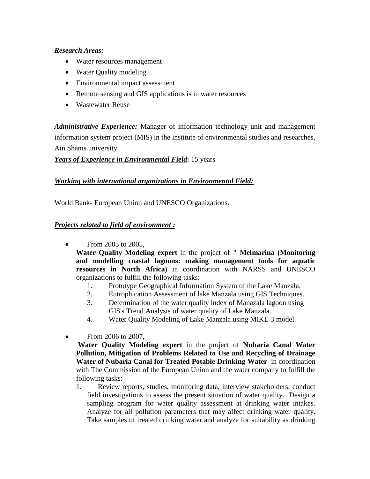## *Research Areas:*

- Water resources management
- Water Quality modeling
- Environmental impact assessment
- Remote sensing and GIS applications is in water resources
- Wastewater Reuse

*Administrative Experience:* Manager of information technology unit and management information system project (MIS) in the institute of environmental studies and researches, Ain Shams university.

# *Years of Experience in Environmental Field*: 15 years

# *Working with international organizations in Environmental Field:*

World Bank- European Union and UNESCO Organizations.

## *Projects related to field of environment :*

• From 2003 to 2005,

**Water Quality Modeling expert** in the project of **" Melmarina (Monitoring and modelling coastal lagoons: making management tools for aquatic resources in North Africa)** in coordination with NARSS and UNESCO organizations to fulfill the following tasks:

- 1. Prototype Geographical Information System of the Lake Manzala.
- 2. Eutrophication Assessment of lake Manzala using GIS Techniques.
- 3. Determination of the water quality index of Manazala lagoon using GIS's Trend Analysis of water quality of Lake Manzala.
- 4. Water Quality Modeling of Lake Manzala using MIKE 3 model.
- From 2006 to 2007,

**Water Quality Modeling expert** in the project of **Nubaria Canal Water Pollution, Mitigation of Problems Related to Use and Recycling of Drainage Water of Nubaria Canal for Treated Potable Drinking Water** in coordination with The Commission of the European Union and the water company to fulfill the following tasks:

1. Review reports, studies, monitoring data, interview stakeholders, conduct field investigations to assess the present situation of water quality. Design a sampling program for water quality assessment at drinking water intakes. Analyze for all pollution parameters that may affect drinking water quality. Take samples of treated drinking water and analyze for suitability as drinking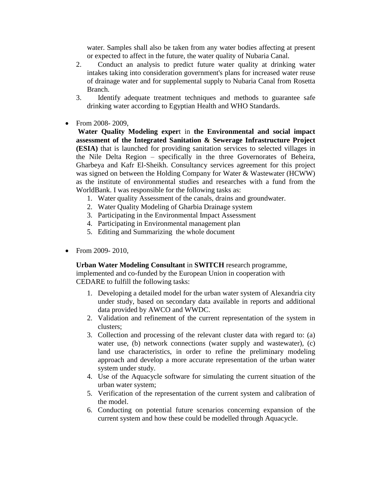water. Samples shall also be taken from any water bodies affecting at present or expected to affect in the future, the water quality of Nubaria Canal.

- 2. Conduct an analysis to predict future water quality at drinking water intakes taking into consideration government's plans for increased water reuse of drainage water and for supplemental supply to Nubaria Canal from Rosetta Branch.
- 3. Identify adequate treatment techniques and methods to guarantee safe drinking water according to Egyptian Health and WHO Standards.
- From 2008-2009,

**Water Quality Modeling exper**t in **the Environmental and social impact assessment of the Integrated Sanitation & Sewerage Infrastructure Project (ESIA)** that is launched for providing sanitation services to selected villages in the Nile Delta Region – specifically in the three Governorates of Beheira, Gharbeya and Kafr El-Sheikh. Consultancy services agreement for this project was signed on between the Holding Company for Water & Wastewater (HCWW) as the institute of environmental studies and researches with a fund from the WorldBank. I was responsible for the following tasks as:

- 1. Water quality Assessment of the canals, drains and groundwater.
- 2. Water Quality Modeling of Gharbia Drainage system
- 3. Participating in the Environmental Impact Assessment
- 4. Participating in Environmental management plan
- 5. Editing and Summarizing the whole document
- From 2009-2010.

**Urban Water Modeling Consultant** in **SWITCH** research programme, implemented and co-funded by the European Union in cooperation with CEDARE to fulfill the following tasks:

- 1. Developing a detailed model for the urban water system of Alexandria city under study, based on secondary data available in reports and additional data provided by AWCO and WWDC.
- 2. Validation and refinement of the current representation of the system in clusters;
- 3. Collection and processing of the relevant cluster data with regard to: (a) water use, (b) network connections (water supply and wastewater), (c) land use characteristics, in order to refine the preliminary modeling approach and develop a more accurate representation of the urban water system under study.
- 4. Use of the Aquacycle software for simulating the current situation of the urban water system;
- 5. Verification of the representation of the current system and calibration of the model.
- 6. Conducting on potential future scenarios concerning expansion of the current system and how these could be modelled through Aquacycle.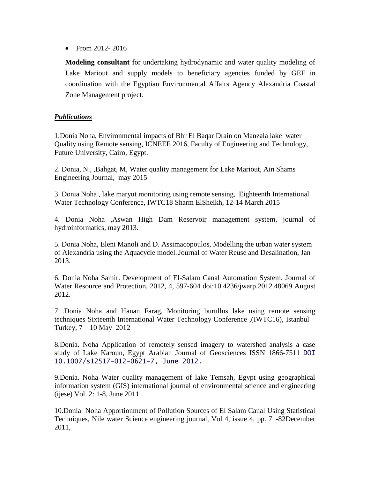• From 2012-2016

**Modeling consultant** for undertaking hydrodynamic and water quality modeling of Lake Mariout and supply models to beneficiary agencies funded by GEF in coordination with the Egyptian Environmental Affairs Agency Alexandria Coastal Zone Management project.

### *Publications*

1.Donia Noha, Environmental impacts of Bhr El Baqar Drain on Manzala lake water Quality using Remote sensing, ICNEEE 2016, Faculty of Engineering and Technology, Future University, Cairo, Egypt.

2. Donia, N., ,Bahgat, M, Water quality management for Lake Mariout, Ain Shams Engineering Journal, may 2015

3. Donia Noha , lake maryut monitoring using remote sensing, Eighteenth International Water Technology Conference, IWTC18 Sharm ElSheikh, 12-14 March 2015

4. Donia Noha ,Aswan High Dam Reservoir management system, journal of hydroinformatics, may 2013.

5. Donia Noha, Eleni Manoli and D. Assimacopoulos, Modelling the urban water system of Alexandria using the Aquacycle model.Journal of Water Reuse and Desalination, Jan 2013.

6. Donia Noha Samir. Development of El-Salam Canal Automation System. Journal of Water Resource and Protection, 2012, 4, 597-604 doi:10.4236/jwarp.2012.48069 August 2012.

7 .Donia Noha and Hanan Farag, Monitoring burullus lake using remote sensing techniques Sixteenth International Water Technology Conference ,(IWTC16), Istanbul – Turkey, 7 – 10 May 2012

8.Donia. Noha Application of remotely sensed imagery to watershed analysis a case study of Lake Karoun, Egypt Arabian Journal of Geosciences ISSN 1866-7511 DOI 10.1007/s12517-012-0621-7, June 2012.

9.Donia. Noha Water quality management of lake Temsah, Egypt using geographical information system (GIS) international journal of environmental science and engineering (ijese) Vol. 2: 1-8, June 2011

10.Donia Noha Apportionment of Pollution Sources of El Salam Canal Using Statistical Techniques, Nile water Science engineering journal, Vol 4, issue 4, pp. 71-82December 2011,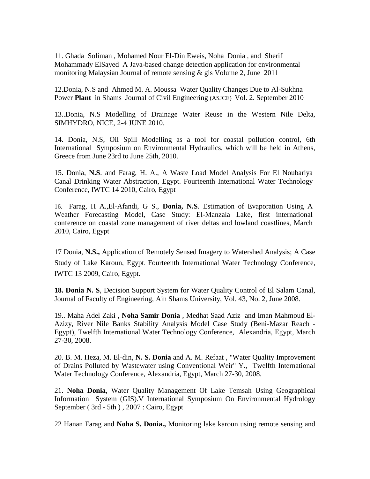11. Ghada Soliman , Mohamed Nour El-Din Eweis, Noha Donia , and Sherif Mohammady ElSayed A Java-based change detection application for environmental monitoring Malaysian Journal of remote sensing & gis Volume 2, June 2011

12.Donia, N.S and Ahmed M. A. Moussa Water Quality Changes Due to Al-Sukhna Power **Plant** in Shams Journal of Civil Engineering (ASJCE) Vol. 2. September 2010

13..Donia, N.S Modelling of Drainage Water Reuse in the Western Nile Delta, SIMHYDRO, NICE, 2-4 JUNE 2010.

14. Donia, N.S, Oil Spill Modelling as a tool for coastal pollution control, 6th International Symposium on Environmental Hydraulics, which will be held in Athens, Greece from June 23rd to June 25th, 2010.

15. Donia, **N.S**. and Farag, H. A., A Waste Load Model Analysis For El Noubariya Canal Drinking Water Abstraction, Egypt. Fourteenth International Water Technology Conference, IWTC 14 2010, Cairo, Egypt

16. Farag, H A.,El-Afandi, G S., **Donia, N.S**. Estimation of Evaporation Using A Weather Forecasting Model, Case Study: El-Manzala Lake, first international conference on coastal zone management of river deltas and lowland coastlines, March 2010, Cairo, Egypt

17 Donia, **N.S.,** Application of Remotely Sensed Imagery to Watershed Analysis; A Case Study of Lake Karoun, Egypt. Fourteenth International Water Technology Conference, IWTC 13 2009, Cairo, Egypt.

**18. Donia N. S**, Decision Support System for Water Quality Control of El Salam Canal, Journal of Faculty of Engineering, Ain Shams University, Vol. 43, No. 2, June 2008.

19.. Maha Adel Zaki , **Noha Samir Donia** , Medhat Saad Aziz and Iman Mahmoud El-Azizy, River Nile Banks Stability Analysis Model Case Study (Beni-Mazar Reach - Egypt), Twelfth International Water Technology Conference, Alexandria, Egypt, March 27-30, 2008.

20. B. M. Heza, M. El-din, **N. S. Donia** and A. M. Refaat , "Water Quality Improvement of Drains Polluted by Wastewater using Conventional Weir" Y., Twelfth International Water Technology Conference, Alexandria, Egypt, March 27-30, 2008.

21. **Noha Donia**, Water Quality Management Of Lake Temsah Using Geographical Information System (GIS).V International Symposium On Environmental Hydrology September ( 3rd - 5th ) , 2007 : Cairo, Egypt

22 Hanan Farag and **Noha S. Donia.,** Monitoring lake karoun using remote sensing and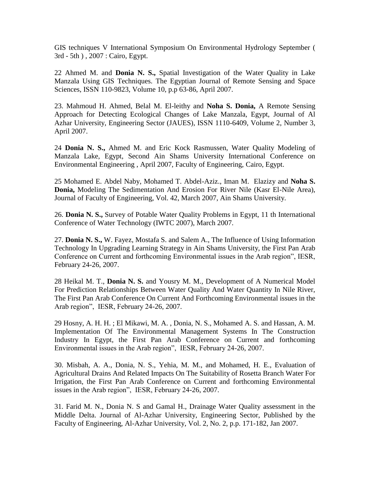GIS techniques V International Symposium On Environmental Hydrology September ( 3rd - 5th ) , 2007 : Cairo, Egypt.

22 Ahmed M. and **Donia N. S.,** Spatial Investigation of the Water Quality in Lake Manzala Using GIS Techniques. The Egyptian Journal of Remote Sensing and Space Sciences, ISSN 110-9823, Volume 10, p.p 63-86, April 2007.

23. Mahmoud H. Ahmed, Belal M. El-leithy and **Noha S. Donia,** A Remote Sensing Approach for Detecting Ecological Changes of Lake Manzala, Egypt, Journal of Al Azhar University, Engineering Sector (JAUES), ISSN 1110-6409, Volume 2, Number 3, April 2007.

24 **Donia N. S.,** Ahmed M. and Eric Kock Rasmussen, Water Quality Modeling of Manzala Lake, Egypt, Second Ain Shams University International Conference on Environmental Engineering , April 2007, Faculty of Engineering, Cairo, Egypt.

25 Mohamed E. Abdel Naby, Mohamed T. Abdel-Aziz., Iman M. Elazizy and **Noha S. Donia,** Modeling The Sedimentation And Erosion For River Nile (Kasr El-Nile Area), Journal of Faculty of Engineering, Vol. 42, March 2007, Ain Shams University.

26. **Donia N. S.,** Survey of Potable Water Quality Problems in Egypt, 11 th International Conference of Water Technology (IWTC 2007), March 2007.

27. **Donia N. S.,** W. Fayez, Mostafa S. and Salem A., The Influence of Using Information Technology In Upgrading Learning Strategy in Ain Shams University, the First Pan Arab Conference on Current and forthcoming Environmental issues in the Arab region", IESR, February 24-26, 2007.

28 Heikal M. T., **Donia N. S.** and Yousry M. M., Development of A Numerical Model For Prediction Relationships Between Water Quality And Water Quantity In Nile River, The First Pan Arab Conference On Current And Forthcoming Environmental issues in the Arab region", IESR, February 24-26, 2007.

29 Hosny, A. H. H. ; El Mikawi, M. A. , Donia, N. S., Mohamed A. S. and Hassan, A. M. Implementation Of The Environmental Management Systems In The Construction Industry In Egypt, the First Pan Arab Conference on Current and forthcoming Environmental issues in the Arab region", IESR, February 24-26, 2007.

30. Misbah, A. A., Donia, N. S., Yehia, M. M., and Mohamed, H. E., Evaluation of Agricultural Drains And Related Impacts On The Suitability of Rosetta Branch Water For Irrigation, the First Pan Arab Conference on Current and forthcoming Environmental issues in the Arab region", IESR, February 24-26, 2007.

31. Farid M. N., Donia N. S and Gamal H., Drainage Water Quality assessment in the Middle Delta. Journal of Al-Azhar University, Engineering Sector, Published by the Faculty of Engineering, Al-Azhar University, Vol. 2, No. 2, p.p. 171-182, Jan 2007.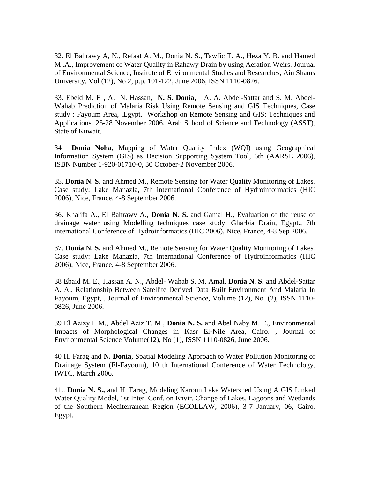32. El Bahrawy A, N., Refaat A. M., Donia N. S., Tawfic T. A., Heza Y. B. and Hamed M .A., Improvement of Water Quality in Rahawy Drain by using Aeration Weirs. Journal of Environmental Science, Institute of Environmental Studies and Researches, Ain Shams University, Vol (12), No 2, p.p. 101-122, June 2006, ISSN 1110-0826.

33. Ebeid M. E , A. N. Hassan, **N. S. Donia**, A. A. Abdel-Sattar and S. M. Abdel-Wahab Prediction of Malaria Risk Using Remote Sensing and GIS Techniques, Case study : Fayoum Area, ,Egypt. Workshop on Remote Sensing and GIS: Techniques and Applications. 25-28 November 2006. Arab School of Science and Technology (ASST), State of Kuwait.

34 **Donia Noha**, Mapping of Water Quality Index (WQI) using Geographical Information System (GIS) as Decision Supporting System Tool, 6th (AARSE 2006), ISBN Number 1-920-01710-0, 30 October-2 November 2006.

35. **Donia N. S.** and Ahmed M., Remote Sensing for Water Quality Monitoring of Lakes. Case study: Lake Manazla, 7th international Conference of Hydroinformatics (HIC 2006), Nice, France, 4-8 September 2006.

36. Khalifa A., El Bahrawy A., **Donia N. S.** and Gamal H., Evaluation of the reuse of drainage water using Modelling techniques case study: Gharbia Drain, Egypt., 7th international Conference of Hydroinformatics (HIC 2006), Nice, France, 4-8 Sep 2006.

37. **Donia N. S.** and Ahmed M., Remote Sensing for Water Quality Monitoring of Lakes. Case study: Lake Manazla, 7th international Conference of Hydroinformatics (HIC 2006), Nice, France, 4-8 September 2006.

38 Ebaid M. E., Hassan A. N., Abdel- Wahab S. M. Amal. **Donia N. S.** and Abdel-Sattar A. A., Relationship Between Satellite Derived Data Built Environment And Malaria In Fayoum, Egypt, , Journal of Environmental Science, Volume (12), No. (2), ISSN 1110- 0826, June 2006.

39 El Azizy I. M., Abdel Aziz T. M., **Donia N. S.** and Abel Naby M. E., Environmental Impacts of Morphological Changes in Kasr El-Nile Area, Cairo. , Journal of Environmental Science Volume(12), No (1), ISSN 1110-0826, June 2006.

40 H. Farag and **N. Donia**, Spatial Modeling Approach to Water Pollution Monitoring of Drainage System (El-Fayoum), 10 th International Conference of Water Technology, IWTC, March 2006.

41.. **Donia N. S.,** and H. Farag, Modeling Karoun Lake Watershed Using A GIS Linked Water Quality Model, 1st Inter. Conf. on Envir. Change of Lakes, Lagoons and Wetlands of the Southern Mediterranean Region (ECOLLAW, 2006), 3-7 January, 06, Cairo, Egypt.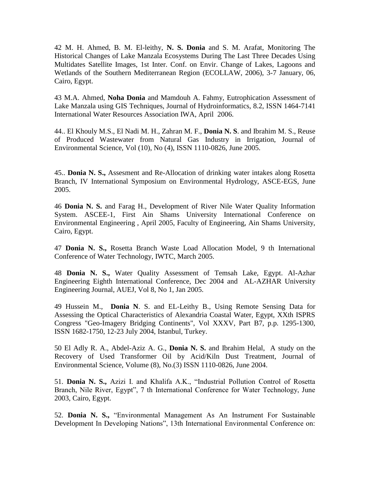42 M. H. Ahmed, B. M. El-leithy, **N. S. Donia** and S. M. Arafat, Monitoring The Historical Changes of Lake Manzala Ecosystems During The Last Three Decades Using Multidates Satellite Images, 1st Inter. Conf. on Envir. Change of Lakes, Lagoons and Wetlands of the Southern Mediterranean Region (ECOLLAW, 2006), 3-7 January, 06, Cairo, Egypt.

43 M.A. Ahmed, **Noha Donia** and Mamdouh A. Fahmy, Eutrophication Assessment of Lake Manzala using GIS Techniques, Journal of Hydroinformatics, 8.2, ISSN 1464-7141 International Water Resources Association IWA, April 2006.

44.. El Khouly M.S., El Nadi M. H., Zahran M. F., **Donia N. S**. and Ibrahim M. S., Reuse of Produced Wastewater from Natural Gas Industry in Irrigation, Journal of Environmental Science, Vol (10), No (4), ISSN 1110-0826, June 2005.

45.. **Donia N. S.,** Assesment and Re-Allocation of drinking water intakes along Rosetta Branch, IV International Symposium on Environmental Hydrology, ASCE-EGS, June 2005.

46 **Donia N. S.** and Farag H., Development of River Nile Water Quality Information System. ASCEE-1, First Ain Shams University International Conference on Environmental Engineering , April 2005, Faculty of Engineering, Ain Shams University, Cairo, Egypt.

47 **Donia N. S.,** Rosetta Branch Waste Load Allocation Model, 9 th International Conference of Water Technology, IWTC, March 2005.

48 **Donia N. S.,** Water Quality Assessment of Temsah Lake, Egypt. Al-Azhar Engineering Eighth International Conference, Dec 2004 and AL-AZHAR University Engineering Journal, AUEJ, Vol 8, No 1, Jan 2005.

49 Hussein M., **Donia N**. S. and EL-Leithy B., Using Remote Sensing Data for Assessing the Optical Characteristics of Alexandria Coastal Water, Egypt, XXth ISPRS Congress "Geo-Imagery Bridging Continents", Vol XXXV, Part B7, p.p. 1295-1300, ISSN 1682-1750, 12-23 July 2004, Istanbul, Turkey.

50 El Adly R. A., Abdel-Aziz A. G., **Donia N. S.** and Ibrahim Helal, A study on the Recovery of Used Transformer Oil by Acid/Kiln Dust Treatment, Journal of Environmental Science, Volume (8), No.(3) ISSN 1110-0826, June 2004.

51. **Donia N. S.,** Azizi I. and Khalifa A.K., "Industrial Pollution Control of Rosetta Branch, Nile River, Egypt", 7 th International Conference for Water Technology, June 2003, Cairo, Egypt.

52. **Donia N. S.,** "Environmental Management As An Instrument For Sustainable Development In Developing Nations", 13th International Environmental Conference on: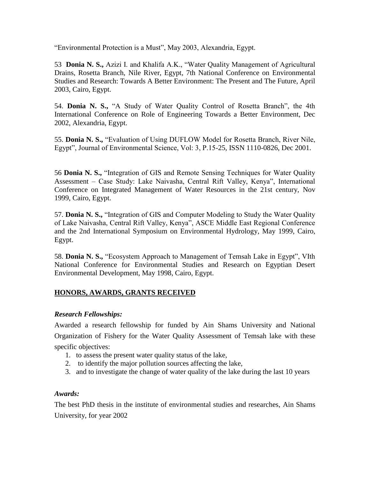"Environmental Protection is a Must", May 2003, Alexandria, Egypt.

53 **Donia N. S.,** Azizi I. and Khalifa A.K., "Water Quality Management of Agricultural Drains, Rosetta Branch, Nile River, Egypt, 7th National Conference on Environmental Studies and Research: Towards A Better Environment: The Present and The Future, April 2003, Cairo, Egypt.

54. **Donia N. S.,** "A Study of Water Quality Control of Rosetta Branch", the 4th International Conference on Role of Engineering Towards a Better Environment, Dec 2002, Alexandria, Egypt.

55. **Donia N. S.,** "Evaluation of Using DUFLOW Model for Rosetta Branch, River Nile, Egypt", Journal of Environmental Science, Vol: 3, P.15-25, ISSN 1110-0826, Dec 2001.

56 **Donia N. S.,** "Integration of GIS and Remote Sensing Techniques for Water Quality Assessment – Case Study: Lake Naivasha, Central Rift Valley, Kenya", International Conference on Integrated Management of Water Resources in the 21st century, Nov 1999, Cairo, Egypt.

57. **Donia N. S.,** "Integration of GIS and Computer Modeling to Study the Water Quality of Lake Naivasha, Central Rift Valley, Kenya", ASCE Middle East Regional Conference and the 2nd International Symposium on Environmental Hydrology, May 1999, Cairo, Egypt.

58. **Donia N. S.,** "Ecosystem Approach to Management of Temsah Lake in Egypt", VIth National Conference for Environmental Studies and Research on Egyptian Desert Environmental Development, May 1998, Cairo, Egypt.

# **HONORS, AWARDS, GRANTS RECEIVED**

## *Research Fellowships:*

Awarded a research fellowship for funded by Ain Shams University and National Organization of Fishery for the Water Quality Assessment of Temsah lake with these specific objectives:

- 1. to assess the present water quality status of the lake,
- 2. to identify the major pollution sources affecting the lake,
- 3. and to investigate the change of water quality of the lake during the last 10 years

## *Awards:*

The best PhD thesis in the institute of environmental studies and researches, Ain Shams University, for year 2002